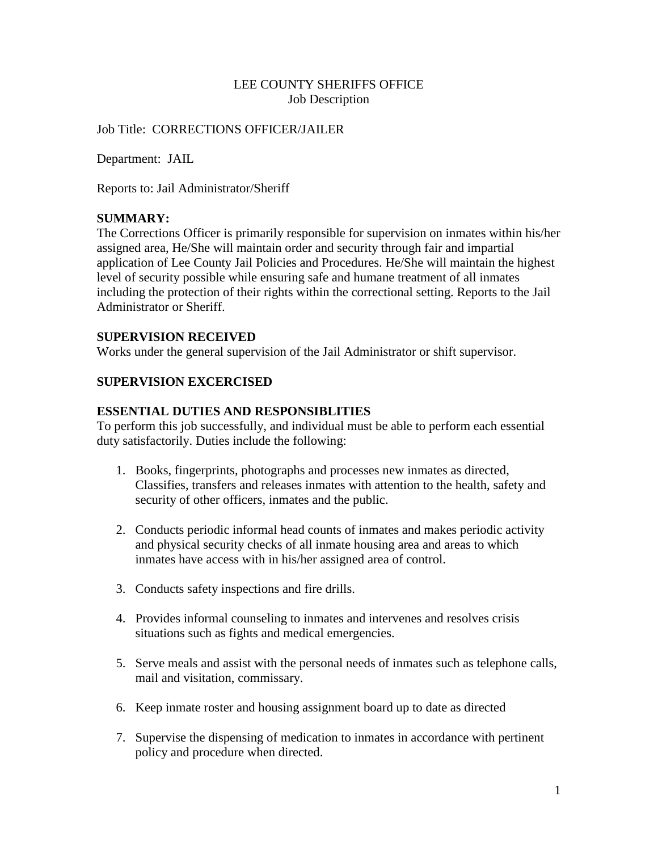# LEE COUNTY SHERIFFS OFFICE Job Description

#### Job Title: CORRECTIONS OFFICER/JAILER

Department: JAIL

Reports to: Jail Administrator/Sheriff

#### **SUMMARY:**

The Corrections Officer is primarily responsible for supervision on inmates within his/her assigned area, He/She will maintain order and security through fair and impartial application of Lee County Jail Policies and Procedures. He/She will maintain the highest level of security possible while ensuring safe and humane treatment of all inmates including the protection of their rights within the correctional setting. Reports to the Jail Administrator or Sheriff.

#### **SUPERVISION RECEIVED**

Works under the general supervision of the Jail Administrator or shift supervisor.

# **SUPERVISION EXCERCISED**

#### **ESSENTIAL DUTIES AND RESPONSIBLITIES**

To perform this job successfully, and individual must be able to perform each essential duty satisfactorily. Duties include the following:

- 1. Books, fingerprints, photographs and processes new inmates as directed, Classifies, transfers and releases inmates with attention to the health, safety and security of other officers, inmates and the public.
- 2. Conducts periodic informal head counts of inmates and makes periodic activity and physical security checks of all inmate housing area and areas to which inmates have access with in his/her assigned area of control.
- 3. Conducts safety inspections and fire drills.
- 4. Provides informal counseling to inmates and intervenes and resolves crisis situations such as fights and medical emergencies.
- 5. Serve meals and assist with the personal needs of inmates such as telephone calls, mail and visitation, commissary.
- 6. Keep inmate roster and housing assignment board up to date as directed
- 7. Supervise the dispensing of medication to inmates in accordance with pertinent policy and procedure when directed.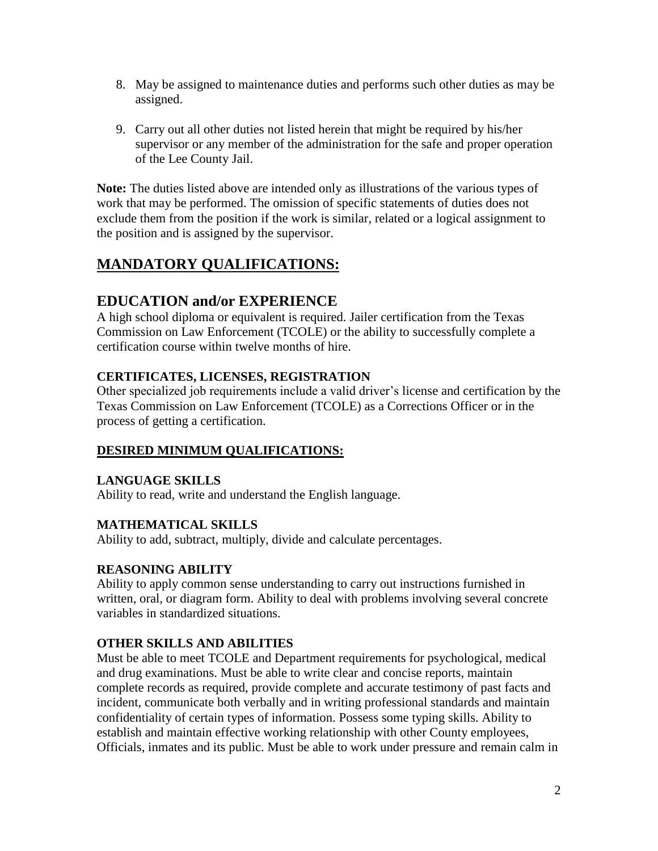- 8. May be assigned to maintenance duties and performs such other duties as may be assigned.
- 9. Carry out all other duties not listed herein that might be required by his/her supervisor or any member of the administration for the safe and proper operation of the Lee County Jail.

**Note:** The duties listed above are intended only as illustrations of the various types of work that may be performed. The omission of specific statements of duties does not exclude them from the position if the work is similar, related or a logical assignment to the position and is assigned by the supervisor.

# **MANDATORY QUALIFICATIONS:**

# **EDUCATION and/or EXPERIENCE**

A high school diploma or equivalent is required. Jailer certification from the Texas Commission on Law Enforcement (TCOLE) or the ability to successfully complete a certification course within twelve months of hire.

# **CERTIFICATES, LICENSES, REGISTRATION**

Other specialized job requirements include a valid driver's license and certification by the Texas Commission on Law Enforcement (TCOLE) as a Corrections Officer or in the process of getting a certification.

# **DESIRED MINIMUM QUALIFICATIONS:**

# **LANGUAGE SKILLS**

Ability to read, write and understand the English language.

# **MATHEMATICAL SKILLS**

Ability to add, subtract, multiply, divide and calculate percentages.

# **REASONING ABILITY**

Ability to apply common sense understanding to carry out instructions furnished in written, oral, or diagram form. Ability to deal with problems involving several concrete variables in standardized situations.

# **OTHER SKILLS AND ABILITIES**

Must be able to meet TCOLE and Department requirements for psychological, medical and drug examinations. Must be able to write clear and concise reports, maintain complete records as required, provide complete and accurate testimony of past facts and incident, communicate both verbally and in writing professional standards and maintain confidentiality of certain types of information. Possess some typing skills. Ability to establish and maintain effective working relationship with other County employees, Officials, inmates and its public. Must be able to work under pressure and remain calm in